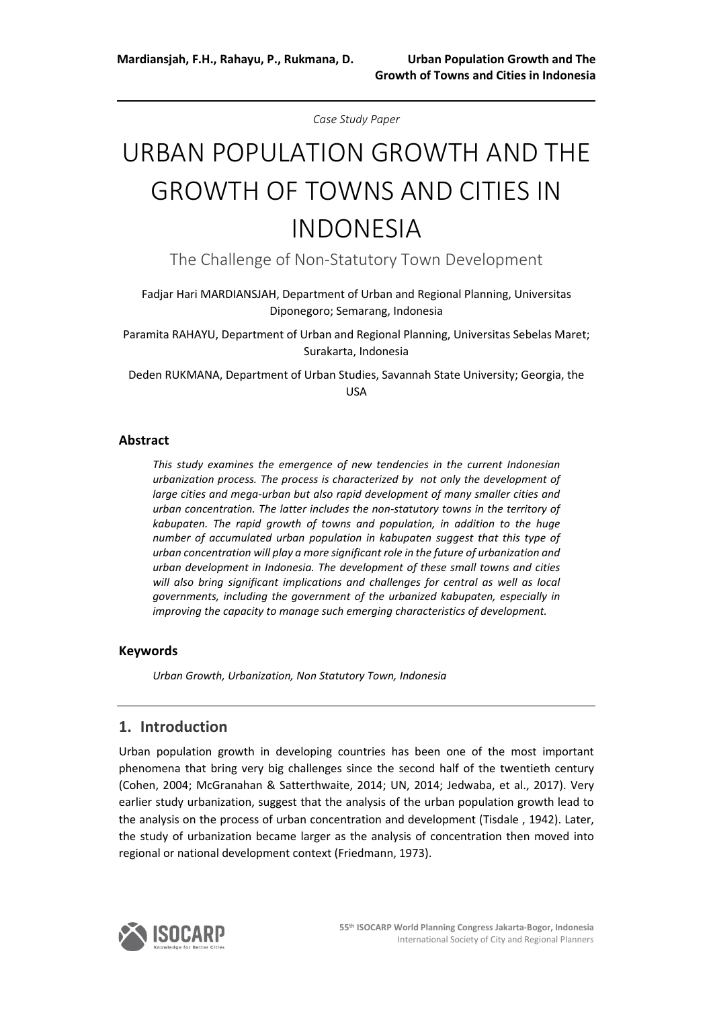*Case Study Paper*

# URBAN POPULATION GROWTH AND THE GROWTH OF TOWNS AND CITIES IN INDONESIA

The Challenge of Non-Statutory Town Development

Fadjar Hari MARDIANSJAH, Department of Urban and Regional Planning, Universitas Diponegoro; Semarang, Indonesia

Paramita RAHAYU, Department of Urban and Regional Planning, Universitas Sebelas Maret; Surakarta, Indonesia

Deden RUKMANA, Department of Urban Studies, Savannah State University; Georgia, the USA

#### **Abstract**

*This study examines the emergence of new tendencies in the current Indonesian urbanization process. The process is characterized by not only the development of large cities and mega-urban but also rapid development of many smaller cities and urban concentration. The latter includes the non-statutory towns in the territory of kabupaten. The rapid growth of towns and population, in addition to the huge number of accumulated urban population in kabupaten suggest that this type of urban concentration will play a more significant role in the future of urbanization and urban development in Indonesia. The development of these small towns and cities*  will also bring significant implications and challenges for central as well as local *governments, including the government of the urbanized kabupaten, especially in improving the capacity to manage such emerging characteristics of development.*

#### **Keywords**

*Urban Growth, Urbanization, Non Statutory Town, Indonesia*

### **1. Introduction**

Urban population growth in developing countries has been one of the most important phenomena that bring very big challenges since the second half of the twentieth century (Cohen, 2004; McGranahan & Satterthwaite, 2014; UN, 2014; Jedwaba, et al., 2017). Very earlier study urbanization, suggest that the analysis of the urban population growth lead to the analysis on the process of urban concentration and development (Tisdale , 1942). Later, the study of urbanization became larger as the analysis of concentration then moved into regional or national development context (Friedmann, 1973).

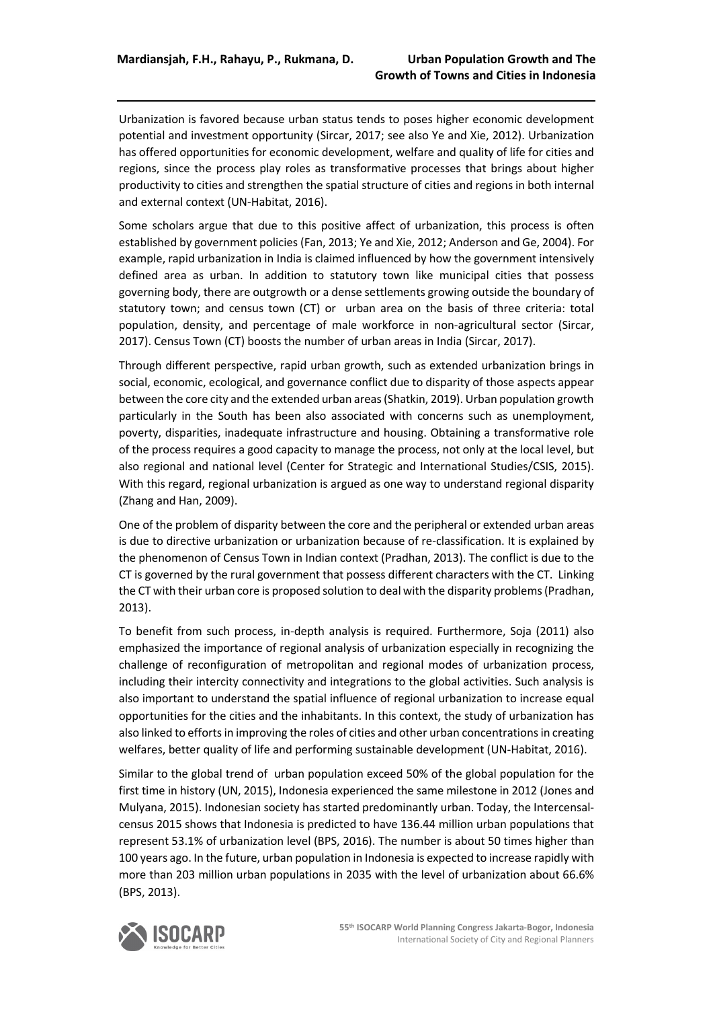Urbanization is favored because urban status tends to poses higher economic development potential and investment opportunity (Sircar, 2017; see also Ye and Xie, 2012). Urbanization has offered opportunities for economic development, welfare and quality of life for cities and regions, since the process play roles as transformative processes that brings about higher productivity to cities and strengthen the spatial structure of cities and regions in both internal and external context (UN-Habitat, 2016).

Some scholars argue that due to this positive affect of urbanization, this process is often established by government policies (Fan, 2013; Ye and Xie, 2012; Anderson and Ge, 2004). For example, rapid urbanization in India is claimed influenced by how the government intensively defined area as urban. In addition to statutory town like municipal cities that possess governing body, there are outgrowth or a dense settlements growing outside the boundary of statutory town; and census town (CT) or urban area on the basis of three criteria: total population, density, and percentage of male workforce in non-agricultural sector (Sircar, 2017). Census Town (CT) boosts the number of urban areas in India (Sircar, 2017).

Through different perspective, rapid urban growth, such as extended urbanization brings in social, economic, ecological, and governance conflict due to disparity of those aspects appear between the core city and the extended urban areas (Shatkin, 2019). Urban population growth particularly in the South has been also associated with concerns such as unemployment, poverty, disparities, inadequate infrastructure and housing. Obtaining a transformative role of the process requires a good capacity to manage the process, not only at the local level, but also regional and national level (Center for Strategic and International Studies/CSIS, 2015). With this regard, regional urbanization is argued as one way to understand regional disparity (Zhang and Han, 2009).

One of the problem of disparity between the core and the peripheral or extended urban areas is due to directive urbanization or urbanization because of re-classification. It is explained by the phenomenon of Census Town in Indian context (Pradhan, 2013). The conflict is due to the CT is governed by the rural government that possess different characters with the CT. Linking the CT with their urban core is proposed solution to deal with the disparity problems (Pradhan, 2013).

To benefit from such process, in-depth analysis is required. Furthermore, Soja (2011) also emphasized the importance of regional analysis of urbanization especially in recognizing the challenge of reconfiguration of metropolitan and regional modes of urbanization process, including their intercity connectivity and integrations to the global activities. Such analysis is also important to understand the spatial influence of regional urbanization to increase equal opportunities for the cities and the inhabitants. In this context, the study of urbanization has also linked to efforts in improving the roles of cities and other urban concentrations in creating welfares, better quality of life and performing sustainable development (UN-Habitat, 2016).

Similar to the global trend of urban population exceed 50% of the global population for the first time in history (UN, 2015), Indonesia experienced the same milestone in 2012 (Jones and Mulyana, 2015). Indonesian society has started predominantly urban. Today, the Intercensalcensus 2015 shows that Indonesia is predicted to have 136.44 million urban populations that represent 53.1% of urbanization level (BPS, 2016). The number is about 50 times higher than 100 years ago. In the future, urban population in Indonesia is expected to increase rapidly with more than 203 million urban populations in 2035 with the level of urbanization about 66.6% (BPS, 2013).

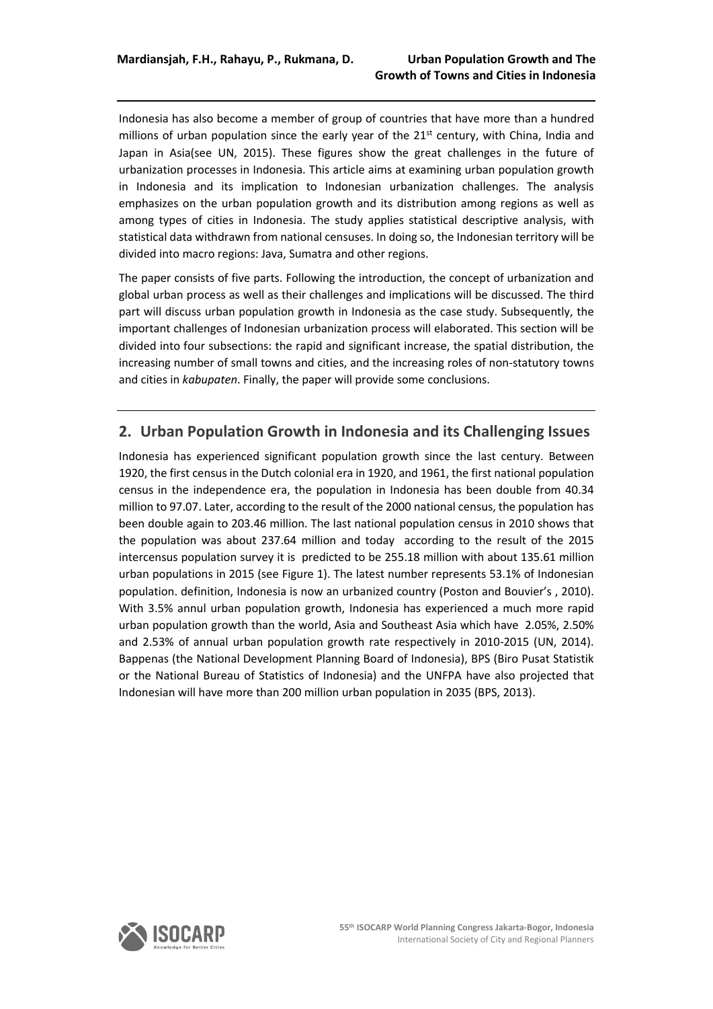Indonesia has also become a member of group of countries that have more than a hundred millions of urban population since the early year of the  $21<sup>st</sup>$  century, with China, India and Japan in Asia(see UN, 2015). These figures show the great challenges in the future of urbanization processes in Indonesia. This article aims at examining urban population growth in Indonesia and its implication to Indonesian urbanization challenges. The analysis emphasizes on the urban population growth and its distribution among regions as well as among types of cities in Indonesia. The study applies statistical descriptive analysis, with statistical data withdrawn from national censuses. In doing so, the Indonesian territory will be divided into macro regions: Java, Sumatra and other regions.

The paper consists of five parts. Following the introduction, the concept of urbanization and global urban process as well as their challenges and implications will be discussed. The third part will discuss urban population growth in Indonesia as the case study. Subsequently, the important challenges of Indonesian urbanization process will elaborated. This section will be divided into four subsections: the rapid and significant increase, the spatial distribution, the increasing number of small towns and cities, and the increasing roles of non-statutory towns and cities in *kabupaten*. Finally, the paper will provide some conclusions.

### **2. Urban Population Growth in Indonesia and its Challenging Issues**

Indonesia has experienced significant population growth since the last century. Between 1920, the first census in the Dutch colonial era in 1920, and 1961, the first national population census in the independence era, the population in Indonesia has been double from 40.34 million to 97.07. Later, according to the result of the 2000 national census, the population has been double again to 203.46 million. The last national population census in 2010 shows that the population was about 237.64 million and today according to the result of the 2015 intercensus population survey it is predicted to be 255.18 million with about 135.61 million urban populations in 2015 (see Figure 1). The latest number represents 53.1% of Indonesian population. definition, Indonesia is now an urbanized country (Poston and Bouvier's , 2010). With 3.5% annul urban population growth, Indonesia has experienced a much more rapid urban population growth than the world, Asia and Southeast Asia which have 2.05%, 2.50% and 2.53% of annual urban population growth rate respectively in 2010-2015 (UN, 2014). Bappenas (the National Development Planning Board of Indonesia), BPS (Biro Pusat Statistik or the National Bureau of Statistics of Indonesia) and the UNFPA have also projected that Indonesian will have more than 200 million urban population in 2035 (BPS, 2013).

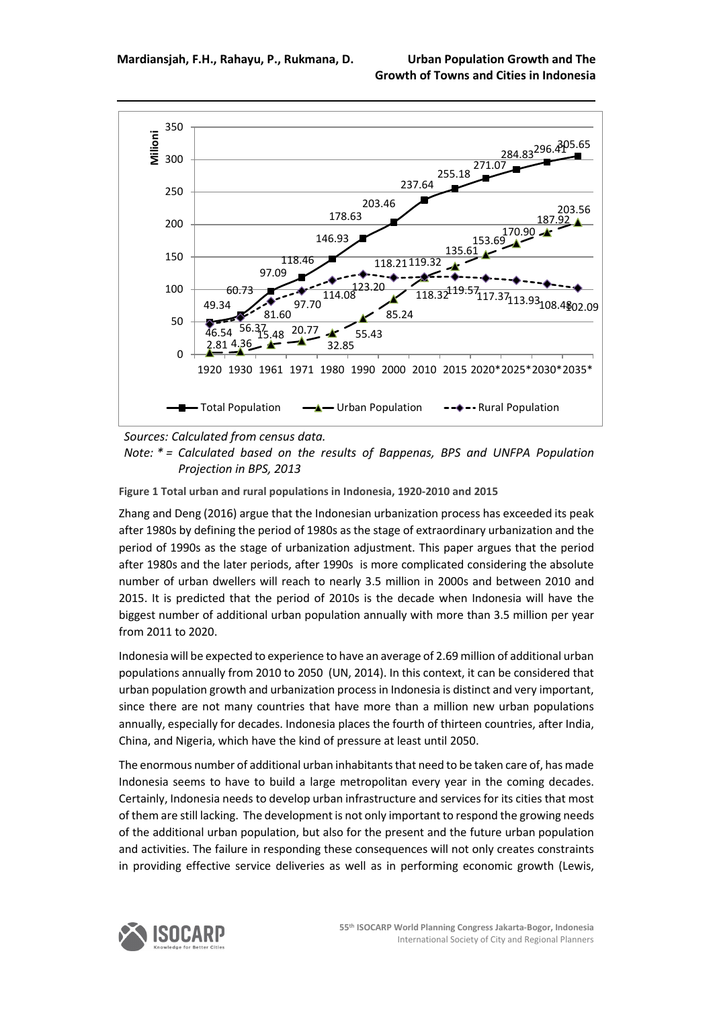

*Sources: Calculated from census data.*

*Note: \* = Calculated based on the results of Bappenas, BPS and UNFPA Population Projection in BPS, 2013*

**Figure 1 Total urban and rural populations in Indonesia, 1920-2010 and 2015**

Zhang and Deng (2016) argue that the Indonesian urbanization process has exceeded its peak after 1980s by defining the period of 1980s as the stage of extraordinary urbanization and the period of 1990s as the stage of urbanization adjustment. This paper argues that the period after 1980s and the later periods, after 1990s is more complicated considering the absolute number of urban dwellers will reach to nearly 3.5 million in 2000s and between 2010 and 2015. It is predicted that the period of 2010s is the decade when Indonesia will have the biggest number of additional urban population annually with more than 3.5 million per year from 2011 to 2020.

Indonesia will be expected to experience to have an average of 2.69 million of additional urban populations annually from 2010 to 2050 (UN, 2014). In this context, it can be considered that urban population growth and urbanization process in Indonesia is distinct and very important, since there are not many countries that have more than a million new urban populations annually, especially for decades. Indonesia places the fourth of thirteen countries, after India, China, and Nigeria, which have the kind of pressure at least until 2050.

The enormous number of additional urban inhabitants that need to be taken care of, has made Indonesia seems to have to build a large metropolitan every year in the coming decades. Certainly, Indonesia needs to develop urban infrastructure and services for its cities that most of them are still lacking. The development is not only important to respond the growing needs of the additional urban population, but also for the present and the future urban population and activities. The failure in responding these consequences will not only creates constraints in providing effective service deliveries as well as in performing economic growth (Lewis,

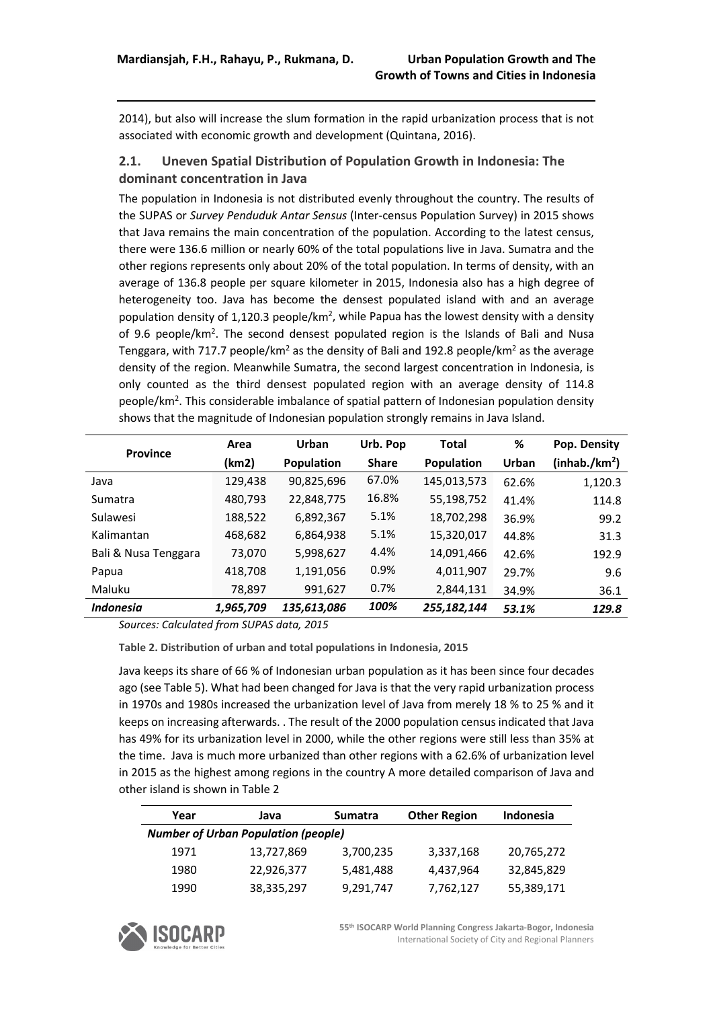2014), but also will increase the slum formation in the rapid urbanization process that is not associated with economic growth and development (Quintana, 2016).

### **2.1. Uneven Spatial Distribution of Population Growth in Indonesia: The dominant concentration in Java**

The population in Indonesia is not distributed evenly throughout the country. The results of the SUPAS or *Survey Penduduk Antar Sensus* (Inter-census Population Survey) in 2015 shows that Java remains the main concentration of the population. According to the latest census, there were 136.6 million or nearly 60% of the total populations live in Java. Sumatra and the other regions represents only about 20% of the total population. In terms of density, with an average of 136.8 people per square kilometer in 2015, Indonesia also has a high degree of heterogeneity too. Java has become the densest populated island with and an average population density of 1,120.3 people/km<sup>2</sup>, while Papua has the lowest density with a density of 9.6 people/km<sup>2</sup>. The second densest populated region is the Islands of Bali and Nusa Tenggara, with 717.7 people/km<sup>2</sup> as the density of Bali and 192.8 people/km<sup>2</sup> as the average density of the region. Meanwhile Sumatra, the second largest concentration in Indonesia, is only counted as the third densest populated region with an average density of 114.8 people/km2. This considerable imbalance of spatial pattern of Indonesian population density shows that the magnitude of Indonesian population strongly remains in Java Island.

|                      | Area      | Urban       | Urb. Pop     | <b>Total</b> | %     | Pop. Density              |
|----------------------|-----------|-------------|--------------|--------------|-------|---------------------------|
| <b>Province</b>      | (km2)     | Population  | <b>Share</b> | Population   | Urban | (inhab./km <sup>2</sup> ) |
| Java                 | 129,438   | 90,825,696  | 67.0%        | 145,013,573  | 62.6% | 1,120.3                   |
| Sumatra              | 480,793   | 22,848,775  | 16.8%        | 55,198,752   | 41.4% | 114.8                     |
| Sulawesi             | 188,522   | 6,892,367   | 5.1%         | 18,702,298   | 36.9% | 99.2                      |
| Kalimantan           | 468,682   | 6,864,938   | 5.1%         | 15,320,017   | 44.8% | 31.3                      |
| Bali & Nusa Tenggara | 73,070    | 5,998,627   | 4.4%         | 14,091,466   | 42.6% | 192.9                     |
| Papua                | 418,708   | 1,191,056   | 0.9%         | 4,011,907    | 29.7% | 9.6                       |
| Maluku               | 78,897    | 991,627     | 0.7%         | 2,844,131    | 34.9% | 36.1                      |
| <b>Indonesia</b>     | 1,965,709 | 135,613,086 | 100%         | 255,182,144  | 53.1% | 129.8                     |

*Sources: Calculated from SUPAS data, 2015*

**Table 2. Distribution of urban and total populations in Indonesia, 2015**

Java keeps its share of 66 % of Indonesian urban population as it has been since four decades ago (see Table 5). What had been changed for Java is that the very rapid urbanization process in 1970s and 1980s increased the urbanization level of Java from merely 18 % to 25 % and it keeps on increasing afterwards. . The result of the 2000 population census indicated that Java has 49% for its urbanization level in 2000, while the other regions were still less than 35% at the time. Java is much more urbanized than other regions with a 62.6% of urbanization level in 2015 as the highest among regions in the country A more detailed comparison of Java and other island is shown in Table 2

| Year | Java                                       | <b>Sumatra</b> | <b>Other Region</b> | <b>Indonesia</b> |
|------|--------------------------------------------|----------------|---------------------|------------------|
|      | <b>Number of Urban Population (people)</b> |                |                     |                  |
| 1971 | 13,727,869                                 | 3,700,235      | 3,337,168           | 20,765,272       |
| 1980 | 22,926,377                                 | 5,481,488      | 4,437,964           | 32,845,829       |
| 1990 | 38,335,297                                 | 9,291,747      | 7,762,127           | 55,389,171       |



**55th ISOCARP World Planning Congress Jakarta-Bogor, Indonesia** International Society of City and Regional Planners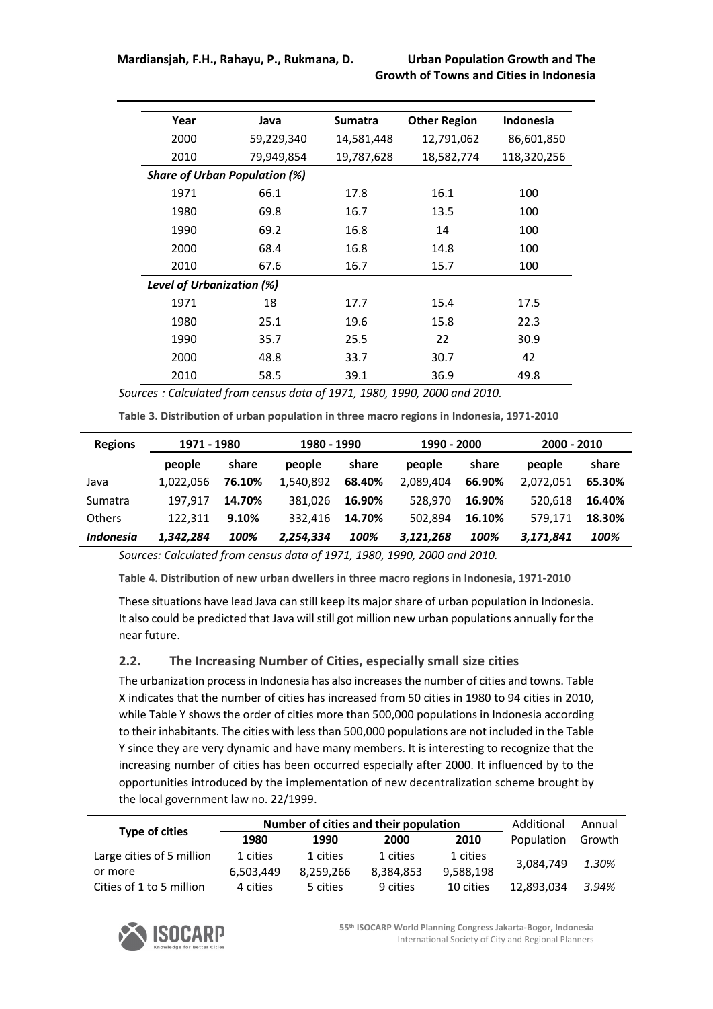| Year                             | Java                                 | <b>Sumatra</b> | <b>Other Region</b> | <b>Indonesia</b> |
|----------------------------------|--------------------------------------|----------------|---------------------|------------------|
| 2000                             | 59,229,340                           | 14,581,448     | 12,791,062          | 86,601,850       |
| 2010                             | 79,949,854                           | 19,787,628     | 18,582,774          | 118,320,256      |
|                                  | <b>Share of Urban Population (%)</b> |                |                     |                  |
| 1971                             | 66.1                                 | 17.8           | 16.1                | 100              |
| 1980                             | 69.8                                 | 16.7           | 13.5                | 100              |
| 1990                             | 69.2                                 | 16.8           | 14                  | 100              |
| 2000                             | 68.4                                 | 16.8           | 14.8                | 100              |
| 2010                             | 67.6                                 | 16.7           | 15.7                | 100              |
| <b>Level of Urbanization (%)</b> |                                      |                |                     |                  |
| 1971                             | 18                                   | 17.7           | 15.4                | 17.5             |
| 1980                             | 25.1                                 | 19.6           | 15.8                | 22.3             |
| 1990                             | 35.7                                 | 25.5           | 22                  | 30.9             |
| 2000                             | 48.8                                 | 33.7           | 30.7                | 42               |
| 2010                             | 58.5                                 | 39.1           | 36.9                | 49.8             |

*Sources : Calculated from census data of 1971, 1980, 1990, 2000 and 2010.*

**Table 3. Distribution of urban population in three macro regions in Indonesia, 1971-2010**

| <b>Regions</b> | 1971 - 1980 |        | 1980 - 1990 |        | 1990 - 2000 |        | $2000 - 2010$ |        |
|----------------|-------------|--------|-------------|--------|-------------|--------|---------------|--------|
|                | people      | share  | people      | share  | people      | share  | people        | share  |
| Java           | 1.022.056   | 76.10% | 1.540.892   | 68.40% | 2.089.404   | 66.90% | 2.072.051     | 65.30% |
| Sumatra        | 197.917     | 14.70% | 381.026     | 16.90% | 528.970     | 16.90% | 520,618       | 16.40% |
| Others         | 122.311     | 9.10%  | 332.416     | 14.70% | 502.894     | 16.10% | 579.171       | 18.30% |
| Indonesia      | 1.342.284   | 100%   | 2,254,334   | 100%   | 3,121,268   | 100%   | 3.171.841     | 100%   |

*Sources: Calculated from census data of 1971, 1980, 1990, 2000 and 2010.*

**Table 4. Distribution of new urban dwellers in three macro regions in Indonesia, 1971-2010**

These situations have lead Java can still keep its major share of urban population in Indonesia. It also could be predicted that Java will still got million new urban populations annually for the near future.

#### **2.2. The Increasing Number of Cities, especially small size cities**

The urbanization process in Indonesia has also increases the number of cities and towns. Table X indicates that the number of cities has increased from 50 cities in 1980 to 94 cities in 2010, while Table Y shows the order of cities more than 500,000 populations in Indonesia according to their inhabitants. The cities with less than 500,000 populations are not included in the Table Y since they are very dynamic and have many members. It is interesting to recognize that the increasing number of cities has been occurred especially after 2000. It influenced by to the opportunities introduced by the implementation of new decentralization scheme brought by the local government law no. 22/1999.

|                           |           | Number of cities and their population | Additional | Annual    |            |        |
|---------------------------|-----------|---------------------------------------|------------|-----------|------------|--------|
| Type of cities            | 1980      | 1990                                  | 2000       | 2010      | Population | Growth |
| Large cities of 5 million | 1 cities  | 1 cities                              | 1 cities   | 1 cities  | 3.084.749  | 1.30%  |
| or more                   | 6.503.449 | 8.259.266                             | 8.384.853  | 9,588,198 |            |        |
| Cities of 1 to 5 million  | 4 cities  | 5 cities                              | 9 cities   | 10 cities | 12.893.034 | 3.94%  |



**55th ISOCARP World Planning Congress Jakarta-Bogor, Indonesia** International Society of City and Regional Planners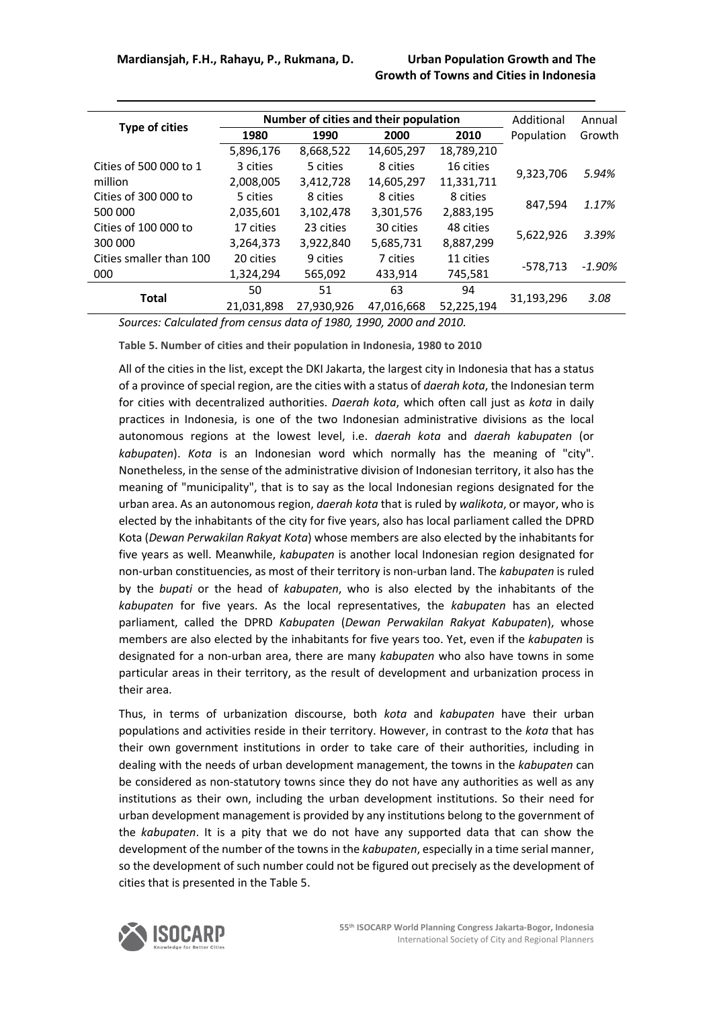|                         |            |            | Number of cities and their population |            | Additional | Annual |  |
|-------------------------|------------|------------|---------------------------------------|------------|------------|--------|--|
| <b>Type of cities</b>   | 1980       | 1990       | 2000                                  | 2010       | Population | Growth |  |
|                         | 5,896,176  | 8,668,522  | 14,605,297                            | 18,789,210 |            |        |  |
| Cities of 500 000 to 1  | 3 cities   | 5 cities   | 8 cities                              | 16 cities  | 9,323,706  | 5.94%  |  |
| million                 | 2,008,005  | 3,412,728  | 14,605,297                            | 11,331,711 |            |        |  |
| Cities of 300 000 to    | 5 cities   | 8 cities   | 8 cities                              | 8 cities   | 847,594    | 1.17%  |  |
| 500 000                 | 2,035,601  | 3,102,478  | 3,301,576                             | 2,883,195  |            |        |  |
| Cities of 100 000 to    | 17 cities  | 23 cities  | 30 cities                             | 48 cities  | 5,622,926  | 3.39%  |  |
| 300 000                 | 3,264,373  | 3,922,840  | 5,685,731                             | 8,887,299  |            |        |  |
| Cities smaller than 100 | 20 cities  | 9 cities   | 7 cities                              | 11 cities  | -578,713   | -1.90% |  |
| 000                     | 1,324,294  | 565,092    | 433.914                               | 745,581    |            |        |  |
| Total                   | 50         | 51         | 63                                    | 94         | 31,193,296 | 3.08   |  |
|                         | 21,031,898 | 27,930,926 | 47,016,668                            | 52,225,194 |            |        |  |

*Sources: Calculated from census data of 1980, 1990, 2000 and 2010.*

**Table 5. Number of cities and their population in Indonesia, 1980 to 2010**

All of the cities in the list, except the DKI Jakarta, the largest city in Indonesia that has a status of a province of special region, are the cities with a status of *daerah kota*, the Indonesian term for cities with decentralized authorities. *Daerah kota*, which often call just as *kota* in daily practices in Indonesia, is one of the two Indonesian administrative divisions as the local autonomous regions at the lowest level, i.e. *daerah kota* and *daerah kabupaten* (or *kabupaten*). *Kota* is an Indonesian word which normally has the meaning of "city". Nonetheless, in the sense of the administrative division of Indonesian territory, it also has the meaning of "municipality", that is to say as the local Indonesian regions designated for the urban area. As an autonomous region, *daerah kota* that is ruled by *walikota*, or mayor, who is elected by the inhabitants of the city for five years, also has local parliament called the DPRD Kota (*Dewan Perwakilan Rakyat Kota*) whose members are also elected by the inhabitants for five years as well. Meanwhile, *kabupaten* is another local Indonesian region designated for non-urban constituencies, as most of their territory is non-urban land. The *kabupaten* is ruled by the *bupati* or the head of *kabupaten*, who is also elected by the inhabitants of the *kabupaten* for five years. As the local representatives, the *kabupaten* has an elected parliament, called the DPRD *Kabupaten* (*Dewan Perwakilan Rakyat Kabupaten*), whose members are also elected by the inhabitants for five years too. Yet, even if the *kabupaten* is designated for a non-urban area, there are many *kabupaten* who also have towns in some particular areas in their territory, as the result of development and urbanization process in their area.

Thus, in terms of urbanization discourse, both *kota* and *kabupaten* have their urban populations and activities reside in their territory. However, in contrast to the *kota* that has their own government institutions in order to take care of their authorities, including in dealing with the needs of urban development management, the towns in the *kabupaten* can be considered as non-statutory towns since they do not have any authorities as well as any institutions as their own, including the urban development institutions. So their need for urban development management is provided by any institutions belong to the government of the *kabupaten*. It is a pity that we do not have any supported data that can show the development of the number of the towns in the *kabupaten*, especially in a time serial manner, so the development of such number could not be figured out precisely as the development of cities that is presented in the Table 5.

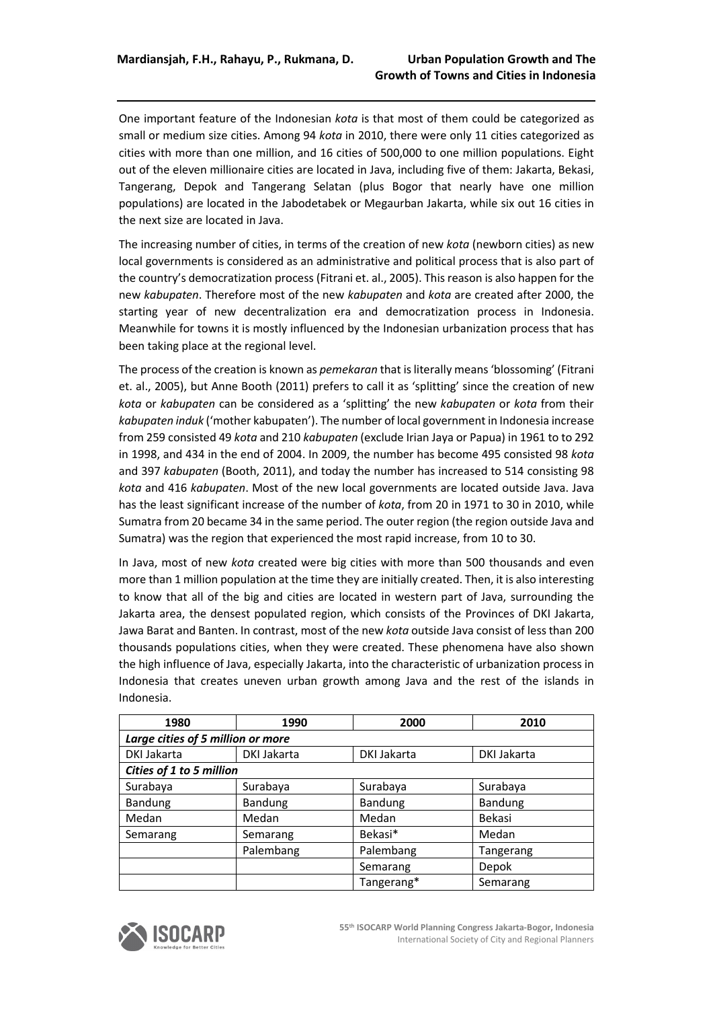One important feature of the Indonesian *kota* is that most of them could be categorized as small or medium size cities. Among 94 *kota* in 2010, there were only 11 cities categorized as cities with more than one million, and 16 cities of 500,000 to one million populations. Eight out of the eleven millionaire cities are located in Java, including five of them: Jakarta, Bekasi, Tangerang, Depok and Tangerang Selatan (plus Bogor that nearly have one million populations) are located in the Jabodetabek or Megaurban Jakarta, while six out 16 cities in the next size are located in Java.

The increasing number of cities, in terms of the creation of new *kota* (newborn cities) as new local governments is considered as an administrative and political process that is also part of the country's democratization process (Fitrani et. al., 2005). This reason is also happen for the new *kabupaten*. Therefore most of the new *kabupaten* and *kota* are created after 2000, the starting year of new decentralization era and democratization process in Indonesia. Meanwhile for towns it is mostly influenced by the Indonesian urbanization process that has been taking place at the regional level.

The process of the creation is known as *pemekaran* that is literally means 'blossoming' (Fitrani et. al., 2005), but Anne Booth (2011) prefers to call it as 'splitting' since the creation of new *kota* or *kabupaten* can be considered as a 'splitting' the new *kabupaten* or *kota* from their *kabupaten induk* ('mother kabupaten'). The number of local government in Indonesia increase from 259 consisted 49 *kota* and 210 *kabupaten* (exclude Irian Jaya or Papua) in 1961 to to 292 in 1998, and 434 in the end of 2004. In 2009, the number has become 495 consisted 98 *kota* and 397 *kabupaten* (Booth, 2011), and today the number has increased to 514 consisting 98 *kota* and 416 *kabupaten*. Most of the new local governments are located outside Java. Java has the least significant increase of the number of *kota*, from 20 in 1971 to 30 in 2010, while Sumatra from 20 became 34 in the same period. The outer region (the region outside Java and Sumatra) was the region that experienced the most rapid increase, from 10 to 30.

In Java, most of new *kota* created were big cities with more than 500 thousands and even more than 1 million population at the time they are initially created. Then, it is also interesting to know that all of the big and cities are located in western part of Java, surrounding the Jakarta area, the densest populated region, which consists of the Provinces of DKI Jakarta, Jawa Barat and Banten. In contrast, most of the new *kota* outside Java consist of less than 200 thousands populations cities, when they were created. These phenomena have also shown the high influence of Java, especially Jakarta, into the characteristic of urbanization process in Indonesia that creates uneven urban growth among Java and the rest of the islands in Indonesia.

| 1980                              | 1990           | 2000           | 2010        |
|-----------------------------------|----------------|----------------|-------------|
| Large cities of 5 million or more |                |                |             |
| DKI Jakarta                       | DKI Jakarta    | DKI Jakarta    | DKI Jakarta |
| Cities of 1 to 5 million          |                |                |             |
| Surabaya                          | Surabaya       | Surabaya       | Surabaya    |
| Bandung                           | <b>Bandung</b> | <b>Bandung</b> | Bandung     |
| Medan                             | Medan          | Medan          | Bekasi      |
| Semarang                          | Semarang       | Bekasi*        | Medan       |
|                                   | Palembang      | Palembang      | Tangerang   |
|                                   |                | Semarang       | Depok       |
|                                   |                | Tangerang*     | Semarang    |

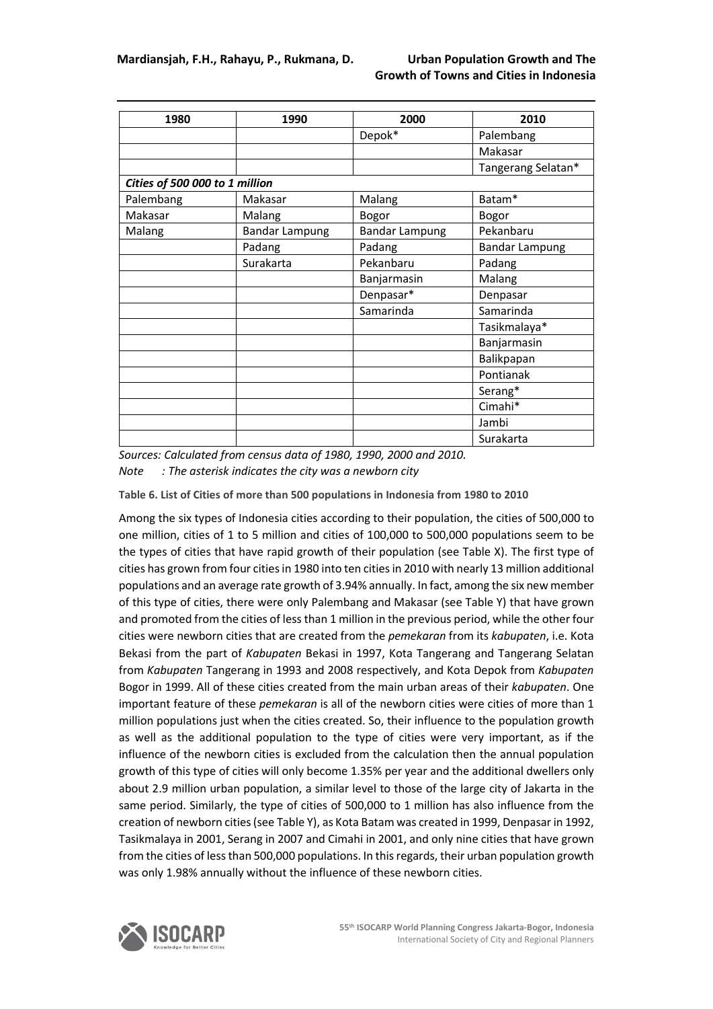| 1980                           | 1990                  | 2000                  | 2010                  |
|--------------------------------|-----------------------|-----------------------|-----------------------|
|                                |                       | Depok*                | Palembang             |
|                                |                       |                       | Makasar               |
|                                |                       |                       | Tangerang Selatan*    |
| Cities of 500 000 to 1 million |                       |                       |                       |
| Palembang                      | Makasar               | Malang                | Batam*                |
| Makasar                        | Malang                | Bogor                 | Bogor                 |
| Malang                         | <b>Bandar Lampung</b> | <b>Bandar Lampung</b> | Pekanbaru             |
|                                | Padang                | Padang                | <b>Bandar Lampung</b> |
|                                | Surakarta             | Pekanbaru             | Padang                |
|                                |                       | Banjarmasin           | Malang                |
|                                |                       | Denpasar*             | Denpasar              |
|                                |                       | Samarinda             | Samarinda             |
|                                |                       |                       | Tasikmalaya*          |
|                                |                       |                       | Banjarmasin           |
|                                |                       |                       | Balikpapan            |
|                                |                       |                       | Pontianak             |
|                                |                       |                       | Serang*               |
|                                |                       |                       | Cimahi*               |
|                                |                       |                       | Jambi                 |
|                                |                       |                       | Surakarta             |

*Sources: Calculated from census data of 1980, 1990, 2000 and 2010.*

*Note : The asterisk indicates the city was a newborn city* 

**Table 6. List of Cities of more than 500 populations in Indonesia from 1980 to 2010**

Among the six types of Indonesia cities according to their population, the cities of 500,000 to one million, cities of 1 to 5 million and cities of 100,000 to 500,000 populations seem to be the types of cities that have rapid growth of their population (see Table X). The first type of cities has grown from four cities in 1980 into ten cities in 2010 with nearly 13 million additional populations and an average rate growth of 3.94% annually. In fact, among the six new member of this type of cities, there were only Palembang and Makasar (see Table Y) that have grown and promoted from the cities of less than 1 million in the previous period, while the other four cities were newborn cities that are created from the *pemekaran* from its *kabupaten*, i.e. Kota Bekasi from the part of *Kabupaten* Bekasi in 1997, Kota Tangerang and Tangerang Selatan from *Kabupaten* Tangerang in 1993 and 2008 respectively, and Kota Depok from *Kabupaten* Bogor in 1999. All of these cities created from the main urban areas of their *kabupaten*. One important feature of these *pemekaran* is all of the newborn cities were cities of more than 1 million populations just when the cities created. So, their influence to the population growth as well as the additional population to the type of cities were very important, as if the influence of the newborn cities is excluded from the calculation then the annual population growth of this type of cities will only become 1.35% per year and the additional dwellers only about 2.9 million urban population, a similar level to those of the large city of Jakarta in the same period. Similarly, the type of cities of 500,000 to 1 million has also influence from the creation of newborn cities (see Table Y), as Kota Batam was created in 1999, Denpasar in 1992, Tasikmalaya in 2001, Serang in 2007 and Cimahi in 2001, and only nine cities that have grown from the cities of less than 500,000 populations. In this regards, their urban population growth was only 1.98% annually without the influence of these newborn cities.

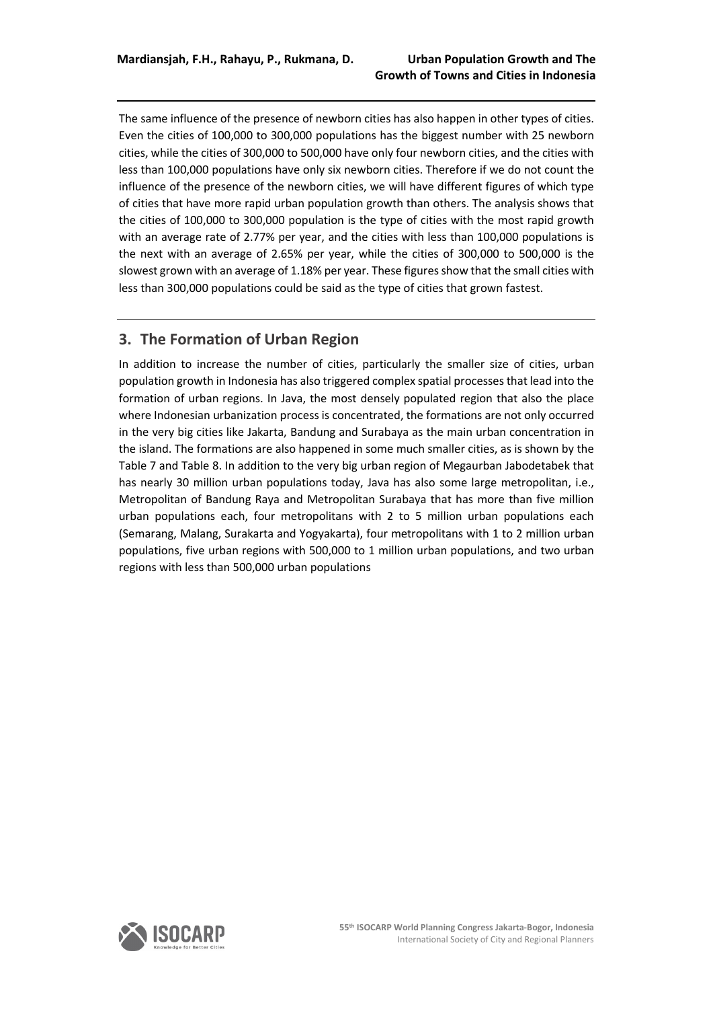The same influence of the presence of newborn cities has also happen in other types of cities. Even the cities of 100,000 to 300,000 populations has the biggest number with 25 newborn cities, while the cities of 300,000 to 500,000 have only four newborn cities, and the cities with less than 100,000 populations have only six newborn cities. Therefore if we do not count the influence of the presence of the newborn cities, we will have different figures of which type of cities that have more rapid urban population growth than others. The analysis shows that the cities of 100,000 to 300,000 population is the type of cities with the most rapid growth with an average rate of 2.77% per year, and the cities with less than 100,000 populations is the next with an average of 2.65% per year, while the cities of 300,000 to 500,000 is the slowest grown with an average of 1.18% per year. These figures show that the small cities with less than 300,000 populations could be said as the type of cities that grown fastest.

## **3. The Formation of Urban Region**

In addition to increase the number of cities, particularly the smaller size of cities, urban population growth in Indonesia has also triggered complex spatial processes that lead into the formation of urban regions. In Java, the most densely populated region that also the place where Indonesian urbanization process is concentrated, the formations are not only occurred in the very big cities like Jakarta, Bandung and Surabaya as the main urban concentration in the island. The formations are also happened in some much smaller cities, as is shown by the Table 7 and Table 8. In addition to the very big urban region of Megaurban Jabodetabek that has nearly 30 million urban populations today, Java has also some large metropolitan, i.e., Metropolitan of Bandung Raya and Metropolitan Surabaya that has more than five million urban populations each, four metropolitans with 2 to 5 million urban populations each (Semarang, Malang, Surakarta and Yogyakarta), four metropolitans with 1 to 2 million urban populations, five urban regions with 500,000 to 1 million urban populations, and two urban regions with less than 500,000 urban populations

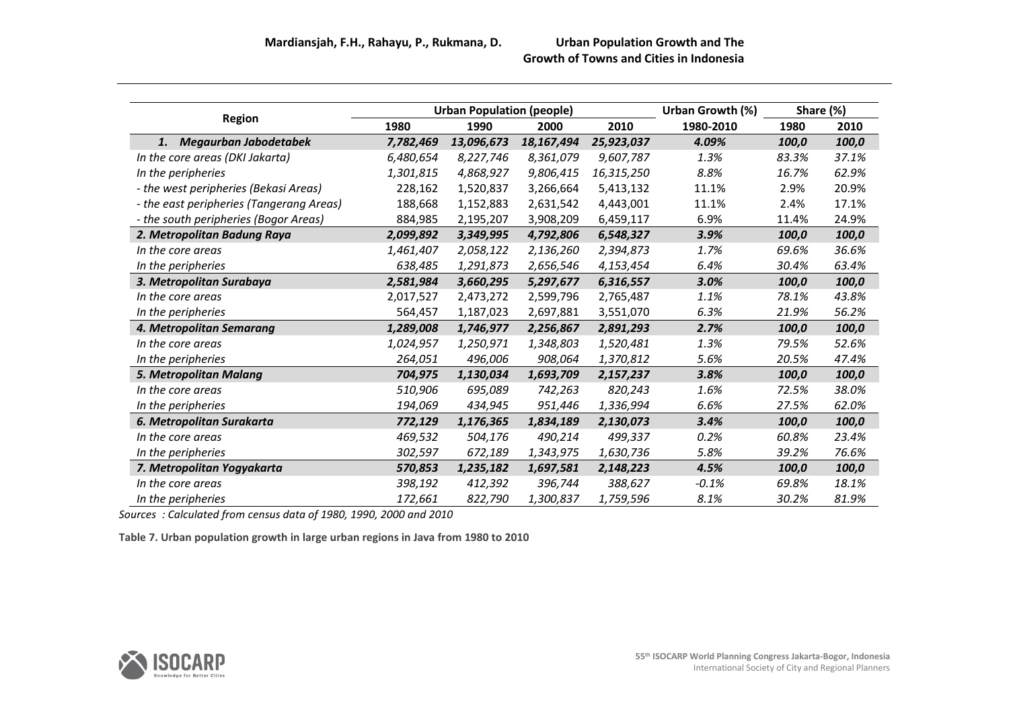|                                          |           | <b>Urban Population (people)</b> |            |            | Urban Growth (%) |       | Share (%) |
|------------------------------------------|-----------|----------------------------------|------------|------------|------------------|-------|-----------|
| <b>Region</b>                            | 1980      | 1990                             | 2000       | 2010       | 1980-2010        | 1980  | 2010      |
| Megaurban Jabodetabek<br>1.              | 7,782,469 | 13,096,673                       | 18,167,494 | 25,923,037 | 4.09%            | 100,0 | 100,0     |
| In the core areas (DKI Jakarta)          | 6,480,654 | 8,227,746                        | 8,361,079  | 9,607,787  | 1.3%             | 83.3% | 37.1%     |
| In the peripheries                       | 1,301,815 | 4,868,927                        | 9,806,415  | 16,315,250 | 8.8%             | 16.7% | 62.9%     |
| - the west peripheries (Bekasi Areas)    | 228,162   | 1,520,837                        | 3,266,664  | 5,413,132  | 11.1%            | 2.9%  | 20.9%     |
| - the east peripheries (Tangerang Areas) | 188,668   | 1,152,883                        | 2,631,542  | 4,443,001  | 11.1%            | 2.4%  | 17.1%     |
| - the south peripheries (Bogor Areas)    | 884,985   | 2,195,207                        | 3,908,209  | 6,459,117  | 6.9%             | 11.4% | 24.9%     |
| 2. Metropolitan Badung Raya              | 2,099,892 | 3,349,995                        | 4,792,806  | 6,548,327  | 3.9%             | 100,0 | 100,0     |
| In the core areas                        | 1,461,407 | 2,058,122                        | 2,136,260  | 2,394,873  | 1.7%             | 69.6% | 36.6%     |
| In the peripheries                       | 638,485   | 1,291,873                        | 2,656,546  | 4,153,454  | 6.4%             | 30.4% | 63.4%     |
| 3. Metropolitan Surabaya                 | 2,581,984 | 3,660,295                        | 5,297,677  | 6,316,557  | 3.0%             | 100,0 | 100,0     |
| In the core areas                        | 2,017,527 | 2,473,272                        | 2,599,796  | 2,765,487  | 1.1%             | 78.1% | 43.8%     |
| In the peripheries                       | 564,457   | 1,187,023                        | 2,697,881  | 3,551,070  | 6.3%             | 21.9% | 56.2%     |
| 4. Metropolitan Semarang                 | 1,289,008 | 1,746,977                        | 2,256,867  | 2,891,293  | 2.7%             | 100,0 | 100,0     |
| In the core areas                        | 1,024,957 | 1,250,971                        | 1,348,803  | 1,520,481  | 1.3%             | 79.5% | 52.6%     |
| In the peripheries                       | 264,051   | 496,006                          | 908,064    | 1,370,812  | 5.6%             | 20.5% | 47.4%     |
| 5. Metropolitan Malang                   | 704,975   | 1,130,034                        | 1,693,709  | 2,157,237  | 3.8%             | 100,0 | 100,0     |
| In the core areas                        | 510,906   | 695,089                          | 742,263    | 820,243    | 1.6%             | 72.5% | 38.0%     |
| In the peripheries                       | 194,069   | 434,945                          | 951,446    | 1,336,994  | 6.6%             | 27.5% | 62.0%     |
| 6. Metropolitan Surakarta                | 772,129   | 1,176,365                        | 1,834,189  | 2,130,073  | 3.4%             | 100,0 | 100,0     |
| In the core areas                        | 469,532   | 504,176                          | 490,214    | 499,337    | 0.2%             | 60.8% | 23.4%     |
| In the peripheries                       | 302,597   | 672,189                          | 1,343,975  | 1,630,736  | 5.8%             | 39.2% | 76.6%     |
| 7. Metropolitan Yogyakarta               | 570,853   | 1,235,182                        | 1,697,581  | 2,148,223  | 4.5%             | 100,0 | 100,0     |
| In the core areas                        | 398,192   | 412,392                          | 396,744    | 388,627    | $-0.1%$          | 69.8% | 18.1%     |
| In the peripheries                       | 172,661   | 822,790                          | 1,300,837  | 1,759,596  | 8.1%             | 30.2% | 81.9%     |

*Sources : Calculated from census data of 1980, 1990, 2000 and 2010*

**Table 7. Urban population growth in large urban regions in Java from 1980 to 2010**

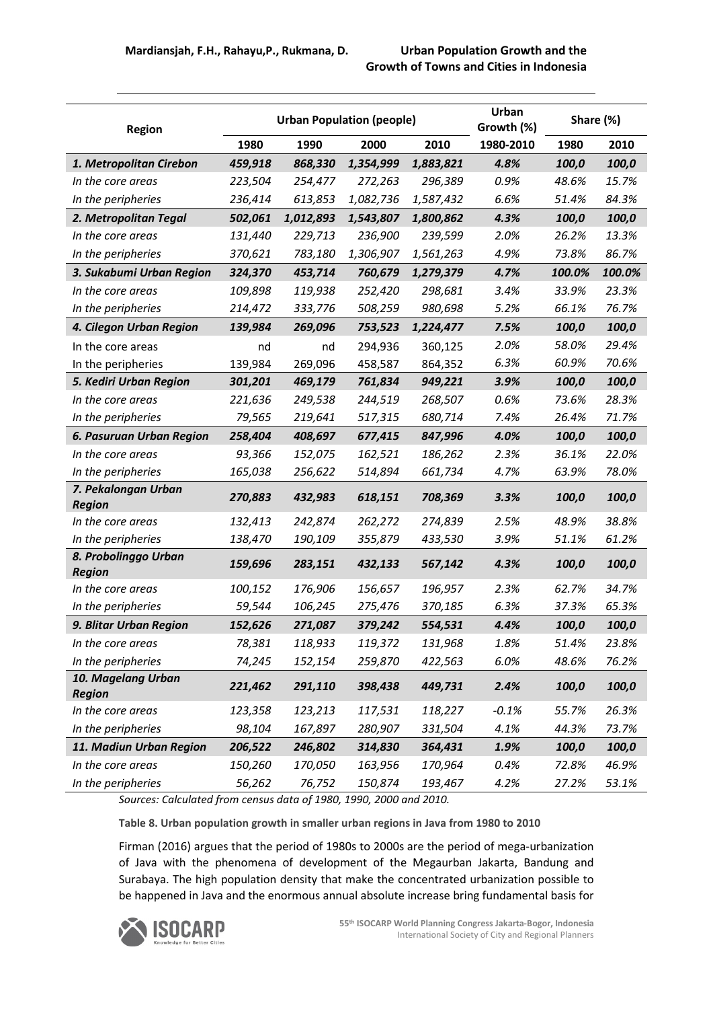| <b>Region</b>                         |         |           | <b>Urban Population (people)</b> |           | Urban<br>Growth (%) |        | Share (%) |
|---------------------------------------|---------|-----------|----------------------------------|-----------|---------------------|--------|-----------|
|                                       | 1980    | 1990      | 2000                             | 2010      | 1980-2010           | 1980   | 2010      |
| 1. Metropolitan Cirebon               | 459,918 | 868,330   | 1,354,999                        | 1,883,821 | 4.8%                | 100,0  | 100,0     |
| In the core areas                     | 223,504 | 254,477   | 272,263                          | 296,389   | 0.9%                | 48.6%  | 15.7%     |
| In the peripheries                    | 236,414 | 613,853   | 1,082,736                        | 1,587,432 | 6.6%                | 51.4%  | 84.3%     |
| 2. Metropolitan Tegal                 | 502,061 | 1,012,893 | 1,543,807                        | 1,800,862 | 4.3%                | 100,0  | 100,0     |
| In the core areas                     | 131,440 | 229,713   | 236,900                          | 239,599   | 2.0%                | 26.2%  | 13.3%     |
| In the peripheries                    | 370,621 | 783,180   | 1,306,907                        | 1,561,263 | 4.9%                | 73.8%  | 86.7%     |
| 3. Sukabumi Urban Region              | 324,370 | 453,714   | 760,679                          | 1,279,379 | 4.7%                | 100.0% | 100.0%    |
| In the core areas                     | 109,898 | 119,938   | 252,420                          | 298,681   | 3.4%                | 33.9%  | 23.3%     |
| In the peripheries                    | 214,472 | 333,776   | 508,259                          | 980,698   | 5.2%                | 66.1%  | 76.7%     |
| 4. Cilegon Urban Region               | 139,984 | 269,096   | 753,523                          | 1,224,477 | 7.5%                | 100,0  | 100,0     |
| In the core areas                     | nd      | nd        | 294,936                          | 360,125   | 2.0%                | 58.0%  | 29.4%     |
| In the peripheries                    | 139,984 | 269,096   | 458,587                          | 864,352   | 6.3%                | 60.9%  | 70.6%     |
| 5. Kediri Urban Region                | 301,201 | 469,179   | 761,834                          | 949,221   | 3.9%                | 100,0  | 100,0     |
| In the core areas                     | 221,636 | 249,538   | 244,519                          | 268,507   | 0.6%                | 73.6%  | 28.3%     |
| In the peripheries                    | 79,565  | 219,641   | 517,315                          | 680,714   | 7.4%                | 26.4%  | 71.7%     |
| 6. Pasuruan Urban Region              | 258,404 | 408,697   | 677,415                          | 847,996   | 4.0%                | 100,0  | 100,0     |
| In the core areas                     | 93,366  | 152,075   | 162,521                          | 186,262   | 2.3%                | 36.1%  | 22.0%     |
| In the peripheries                    | 165,038 | 256,622   | 514,894                          | 661,734   | 4.7%                | 63.9%  | 78.0%     |
| 7. Pekalongan Urban                   | 270,883 | 432,983   | 618,151                          | 708,369   | 3.3%                | 100,0  | 100,0     |
| <b>Region</b>                         |         |           |                                  |           |                     |        |           |
| In the core areas                     | 132,413 | 242,874   | 262,272                          | 274,839   | 2.5%                | 48.9%  | 38.8%     |
| In the peripheries                    | 138,470 | 190,109   | 355,879                          | 433,530   | 3.9%                | 51.1%  | 61.2%     |
| 8. Probolinggo Urban<br><b>Region</b> | 159,696 | 283,151   | 432,133                          | 567,142   | 4.3%                | 100,0  | 100,0     |
| In the core areas                     | 100,152 | 176,906   | 156,657                          | 196,957   | 2.3%                | 62.7%  | 34.7%     |
| In the peripheries                    | 59,544  | 106,245   | 275,476                          | 370,185   | 6.3%                | 37.3%  | 65.3%     |
| 9. Blitar Urban Region                | 152,626 | 271,087   | 379,242                          | 554,531   | 4.4%                | 100,0  | 100,0     |
| In the core areas                     | 78,381  | 118,933   | 119,372                          | 131,968   | 1.8%                | 51.4%  | 23.8%     |
| In the peripheries                    | 74,245  | 152,154   | 259,870                          | 422,563   | 6.0%                | 48.6%  | 76.2%     |
| 10. Magelang Urban                    | 221,462 | 291,110   | 398,438                          | 449,731   | 2.4%                | 100,0  | 100,0     |
| <b>Region</b>                         |         |           |                                  |           |                     |        |           |
| In the core areas                     | 123,358 | 123,213   | 117,531                          | 118,227   | $-0.1%$             | 55.7%  | 26.3%     |
| In the peripheries                    | 98,104  | 167,897   | 280,907                          | 331,504   | 4.1%                | 44.3%  | 73.7%     |
| 11. Madiun Urban Region               | 206,522 | 246,802   | 314,830                          | 364,431   | 1.9%                | 100,0  | 100,0     |
| In the core areas                     | 150,260 | 170,050   | 163,956                          | 170,964   | 0.4%                | 72.8%  | 46.9%     |
| In the peripheries                    | 56,262  | 76,752    | 150,874                          | 193,467   | 4.2%                | 27.2%  | 53.1%     |

*Sources: Calculated from census data of 1980, 1990, 2000 and 2010.*

**Table 8. Urban population growth in smaller urban regions in Java from 1980 to 2010**

Firman (2016) argues that the period of 1980s to 2000s are the period of mega-urbanization of Java with the phenomena of development of the Megaurban Jakarta, Bandung and Surabaya. The high population density that make the concentrated urbanization possible to be happened in Java and the enormous annual absolute increase bring fundamental basis for

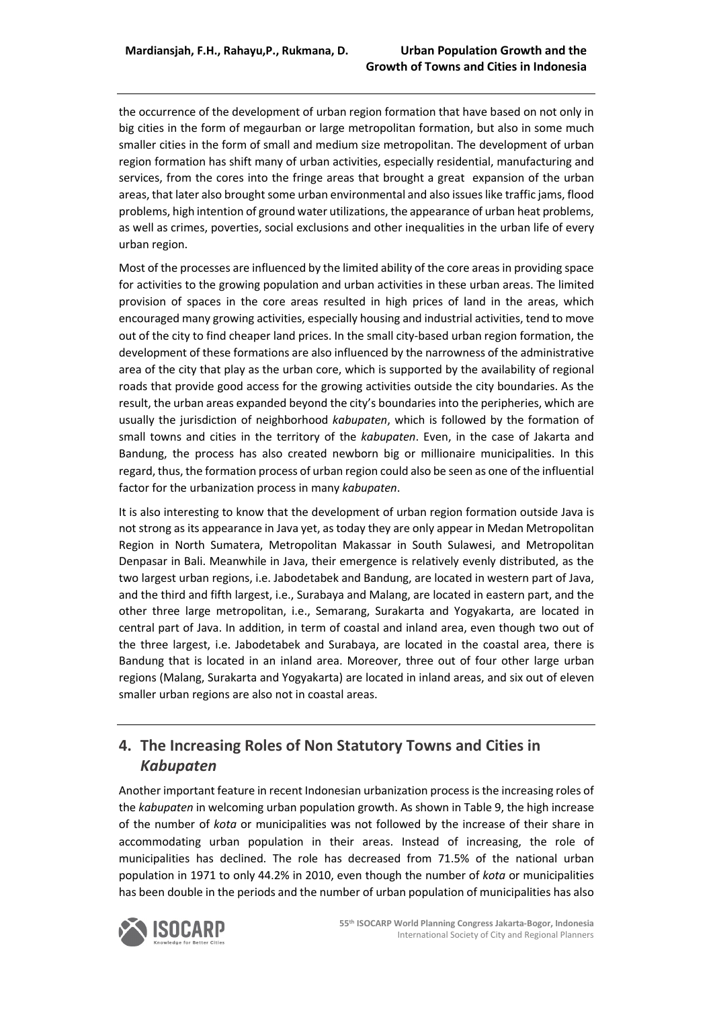the occurrence of the development of urban region formation that have based on not only in big cities in the form of megaurban or large metropolitan formation, but also in some much smaller cities in the form of small and medium size metropolitan. The development of urban region formation has shift many of urban activities, especially residential, manufacturing and services, from the cores into the fringe areas that brought a great expansion of the urban areas, that later also brought some urban environmental and also issues like traffic jams, flood problems, high intention of ground water utilizations, the appearance of urban heat problems, as well as crimes, poverties, social exclusions and other inequalities in the urban life of every urban region.

Most of the processes are influenced by the limited ability of the core areas in providing space for activities to the growing population and urban activities in these urban areas. The limited provision of spaces in the core areas resulted in high prices of land in the areas, which encouraged many growing activities, especially housing and industrial activities, tend to move out of the city to find cheaper land prices. In the small city-based urban region formation, the development of these formations are also influenced by the narrowness of the administrative area of the city that play as the urban core, which is supported by the availability of regional roads that provide good access for the growing activities outside the city boundaries. As the result, the urban areas expanded beyond the city's boundaries into the peripheries, which are usually the jurisdiction of neighborhood *kabupaten*, which is followed by the formation of small towns and cities in the territory of the *kabupaten*. Even, in the case of Jakarta and Bandung, the process has also created newborn big or millionaire municipalities. In this regard, thus, the formation process of urban region could also be seen as one of the influential factor for the urbanization process in many *kabupaten*.

It is also interesting to know that the development of urban region formation outside Java is not strong as its appearance in Java yet, as today they are only appear in Medan Metropolitan Region in North Sumatera, Metropolitan Makassar in South Sulawesi, and Metropolitan Denpasar in Bali. Meanwhile in Java, their emergence is relatively evenly distributed, as the two largest urban regions, i.e. Jabodetabek and Bandung, are located in western part of Java, and the third and fifth largest, i.e., Surabaya and Malang, are located in eastern part, and the other three large metropolitan, i.e., Semarang, Surakarta and Yogyakarta, are located in central part of Java. In addition, in term of coastal and inland area, even though two out of the three largest, i.e. Jabodetabek and Surabaya, are located in the coastal area, there is Bandung that is located in an inland area. Moreover, three out of four other large urban regions (Malang, Surakarta and Yogyakarta) are located in inland areas, and six out of eleven smaller urban regions are also not in coastal areas.

## **4. The Increasing Roles of Non Statutory Towns and Cities in**  *Kabupaten*

Another important feature in recent Indonesian urbanization process is the increasing roles of the *kabupaten* in welcoming urban population growth. As shown in Table 9, the high increase of the number of *kota* or municipalities was not followed by the increase of their share in accommodating urban population in their areas. Instead of increasing, the role of municipalities has declined. The role has decreased from 71.5% of the national urban population in 1971 to only 44.2% in 2010, even though the number of *kota* or municipalities has been double in the periods and the number of urban population of municipalities has also

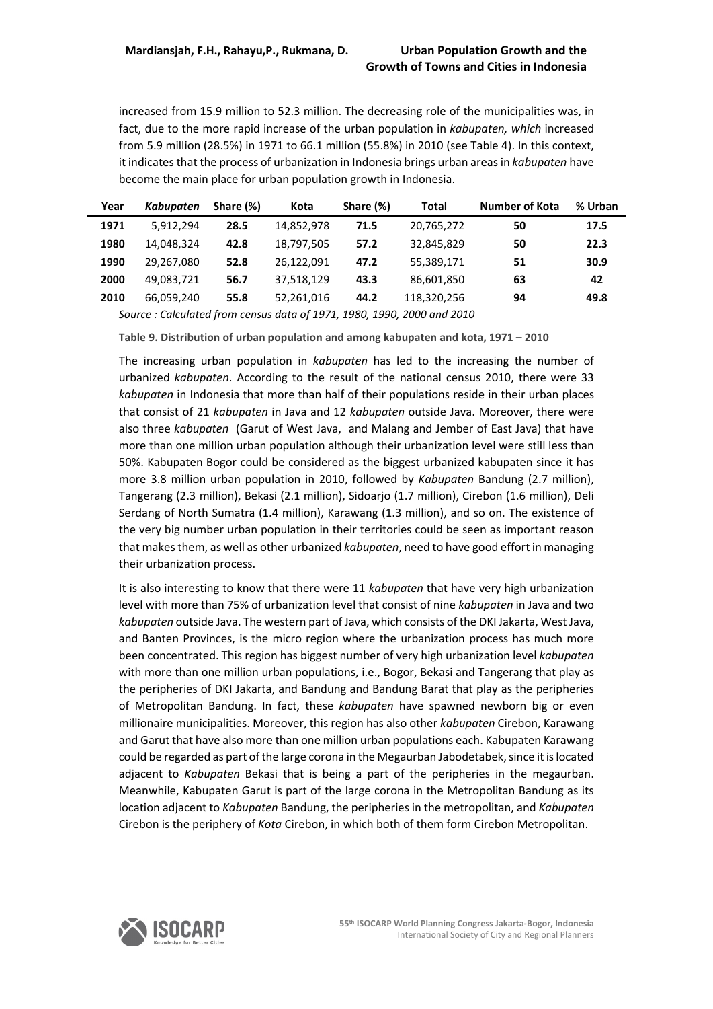increased from 15.9 million to 52.3 million. The decreasing role of the municipalities was, in fact, due to the more rapid increase of the urban population in *kabupaten, which* increased from 5.9 million (28.5%) in 1971 to 66.1 million (55.8%) in 2010 (see Table 4). In this context, it indicates that the process of urbanization in Indonesia brings urban areas in *kabupaten* have become the main place for urban population growth in Indonesia.

| Year | <b>Kabupaten</b> | Share (%) | Kota       | Share (%) | Total       | <b>Number of Kota</b> | % Urban |
|------|------------------|-----------|------------|-----------|-------------|-----------------------|---------|
| 1971 | 5.912.294        | 28.5      | 14,852,978 | 71.5      | 20,765,272  | 50                    | 17.5    |
| 1980 | 14.048.324       | 42.8      | 18,797,505 | 57.2      | 32,845,829  | 50                    | 22.3    |
| 1990 | 29.267.080       | 52.8      | 26.122.091 | 47.2      | 55,389,171  | 51                    | 30.9    |
| 2000 | 49.083.721       | 56.7      | 37.518.129 | 43.3      | 86,601,850  | 63                    | 42      |
| 2010 | 66.059.240       | 55.8      | 52.261.016 | 44.2      | 118.320.256 | 94                    | 49.8    |

*Source : Calculated from census data of 1971, 1980, 1990, 2000 and 2010*

**Table 9. Distribution of urban population and among kabupaten and kota, 1971 – 2010**

The increasing urban population in *kabupaten* has led to the increasing the number of urbanized *kabupaten*. According to the result of the national census 2010, there were 33 *kabupaten* in Indonesia that more than half of their populations reside in their urban places that consist of 21 *kabupaten* in Java and 12 *kabupaten* outside Java. Moreover, there were also three *kabupaten* (Garut of West Java, and Malang and Jember of East Java) that have more than one million urban population although their urbanization level were still less than 50%. Kabupaten Bogor could be considered as the biggest urbanized kabupaten since it has more 3.8 million urban population in 2010, followed by *Kabupaten* Bandung (2.7 million), Tangerang (2.3 million), Bekasi (2.1 million), Sidoarjo (1.7 million), Cirebon (1.6 million), Deli Serdang of North Sumatra (1.4 million), Karawang (1.3 million), and so on. The existence of the very big number urban population in their territories could be seen as important reason that makes them, as well as other urbanized *kabupaten*, need to have good effort in managing their urbanization process.

It is also interesting to know that there were 11 *kabupaten* that have very high urbanization level with more than 75% of urbanization level that consist of nine *kabupaten* in Java and two *kabupaten* outside Java. The western part of Java, which consists of the DKI Jakarta, West Java, and Banten Provinces, is the micro region where the urbanization process has much more been concentrated. This region has biggest number of very high urbanization level *kabupaten* with more than one million urban populations, i.e., Bogor, Bekasi and Tangerang that play as the peripheries of DKI Jakarta, and Bandung and Bandung Barat that play as the peripheries of Metropolitan Bandung. In fact, these *kabupaten* have spawned newborn big or even millionaire municipalities. Moreover, this region has also other *kabupaten* Cirebon, Karawang and Garut that have also more than one million urban populations each. Kabupaten Karawang could be regarded as part of the large corona in the Megaurban Jabodetabek, since it is located adjacent to *Kabupaten* Bekasi that is being a part of the peripheries in the megaurban. Meanwhile, Kabupaten Garut is part of the large corona in the Metropolitan Bandung as its location adjacent to *Kabupaten* Bandung, the peripheries in the metropolitan, and *Kabupaten* Cirebon is the periphery of *Kota* Cirebon, in which both of them form Cirebon Metropolitan.

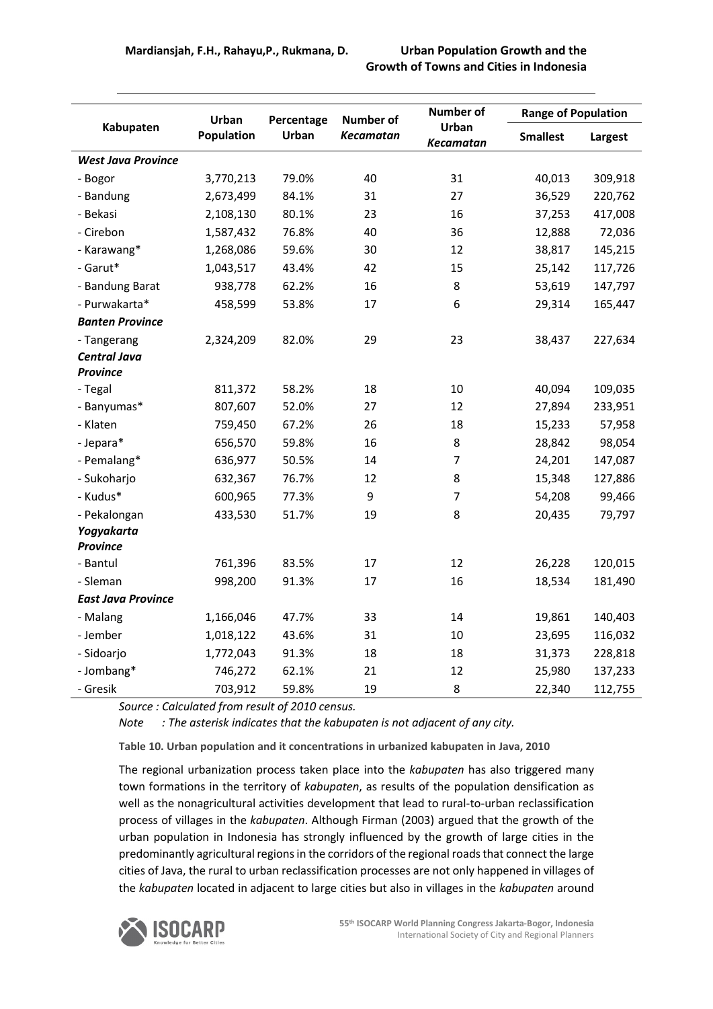|                           | Urban             | Percentage | <b>Number of</b> | Number of                 | <b>Range of Population</b> |         |  |
|---------------------------|-------------------|------------|------------------|---------------------------|----------------------------|---------|--|
| Kabupaten                 | <b>Population</b> | Urban      | <b>Kecamatan</b> | Urban<br><b>Kecamatan</b> | <b>Smallest</b>            | Largest |  |
| <b>West Java Province</b> |                   |            |                  |                           |                            |         |  |
| - Bogor                   | 3,770,213         | 79.0%      | 40               | 31                        | 40,013                     | 309,918 |  |
| - Bandung                 | 2,673,499         | 84.1%      | 31               | 27                        | 36,529                     | 220,762 |  |
| - Bekasi                  | 2,108,130         | 80.1%      | 23               | 16                        | 37,253                     | 417,008 |  |
| - Cirebon                 | 1,587,432         | 76.8%      | 40               | 36                        | 12,888                     | 72,036  |  |
| - Karawang*               | 1,268,086         | 59.6%      | 30               | 12                        | 38,817                     | 145,215 |  |
| - Garut*                  | 1,043,517         | 43.4%      | 42               | 15                        | 25,142                     | 117,726 |  |
| - Bandung Barat           | 938,778           | 62.2%      | 16               | 8                         | 53,619                     | 147,797 |  |
| - Purwakarta*             | 458,599           | 53.8%      | 17               | 6                         | 29,314                     | 165,447 |  |
| <b>Banten Province</b>    |                   |            |                  |                           |                            |         |  |
| - Tangerang               | 2,324,209         | 82.0%      | 29               | 23                        | 38,437                     | 227,634 |  |
| <b>Central Java</b>       |                   |            |                  |                           |                            |         |  |
| <b>Province</b>           |                   |            |                  |                           |                            |         |  |
| - Tegal                   | 811,372           | 58.2%      | 18               | 10                        | 40,094                     | 109,035 |  |
| - Banyumas*               | 807,607           | 52.0%      | 27               | 12                        | 27,894                     | 233,951 |  |
| - Klaten                  | 759,450           | 67.2%      | 26               | 18                        | 15,233                     | 57,958  |  |
| - Jepara*                 | 656,570           | 59.8%      | 16               | 8                         | 28,842                     | 98,054  |  |
| - Pemalang*               | 636,977           | 50.5%      | 14               | 7                         | 24,201                     | 147,087 |  |
| - Sukoharjo               | 632,367           | 76.7%      | 12               | 8                         | 15,348                     | 127,886 |  |
| - Kudus*                  | 600,965           | 77.3%      | 9                | $\overline{7}$            | 54,208                     | 99,466  |  |
| - Pekalongan              | 433,530           | 51.7%      | 19               | 8                         | 20,435                     | 79,797  |  |
| Yogyakarta                |                   |            |                  |                           |                            |         |  |
| Province                  |                   |            |                  |                           |                            |         |  |
| - Bantul                  | 761,396           | 83.5%      | 17               | 12                        | 26,228                     | 120,015 |  |
| - Sleman                  | 998,200           | 91.3%      | 17               | 16                        | 18,534                     | 181,490 |  |
| <b>East Java Province</b> |                   |            |                  |                           |                            |         |  |
| - Malang                  | 1,166,046         | 47.7%      | 33               | 14                        | 19,861                     | 140,403 |  |
| - Jember                  | 1,018,122         | 43.6%      | 31               | 10                        | 23,695                     | 116,032 |  |
| - Sidoarjo                | 1,772,043         | 91.3%      | 18               | 18                        | 31,373                     | 228,818 |  |
| - Jombang*                | 746,272           | 62.1%      | 21               | 12                        | 25,980                     | 137,233 |  |
| - Gresik                  | 703,912           | 59.8%      | 19               | 8                         | 22,340                     | 112,755 |  |

*Source : Calculated from result of 2010 census.* 

*Note : The asterisk indicates that the kabupaten is not adjacent of any city.*

**Table 10. Urban population and it concentrations in urbanized kabupaten in Java, 2010**

The regional urbanization process taken place into the *kabupaten* has also triggered many town formations in the territory of *kabupaten*, as results of the population densification as well as the nonagricultural activities development that lead to rural-to-urban reclassification process of villages in the *kabupaten*. Although Firman (2003) argued that the growth of the urban population in Indonesia has strongly influenced by the growth of large cities in the predominantly agricultural regions in the corridors of the regional roads that connect the large cities of Java, the rural to urban reclassification processes are not only happened in villages of the *kabupaten* located in adjacent to large cities but also in villages in the *kabupaten* around

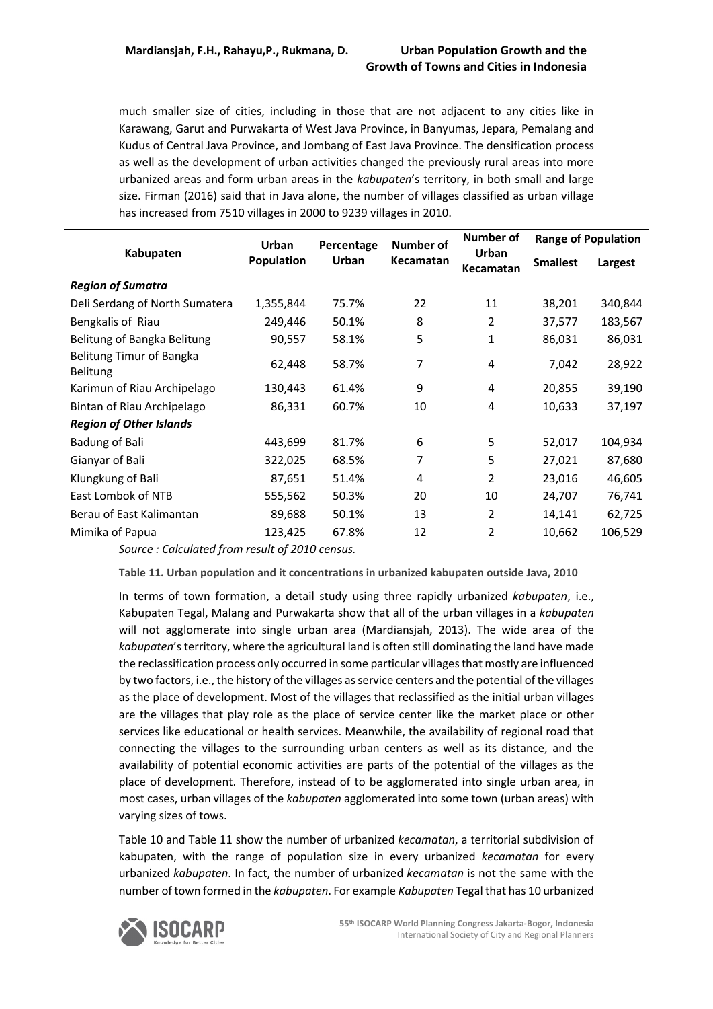much smaller size of cities, including in those that are not adjacent to any cities like in Karawang, Garut and Purwakarta of West Java Province, in Banyumas, Jepara, Pemalang and Kudus of Central Java Province, and Jombang of East Java Province. The densification process as well as the development of urban activities changed the previously rural areas into more urbanized areas and form urban areas in the *kabupaten*'s territory, in both small and large size. Firman (2016) said that in Java alone, the number of villages classified as urban village has increased from 7510 villages in 2000 to 9239 villages in 2010.

| Kabupaten                                   | Urban<br>Population | Percentage<br>Urban | Number of<br>Kecamatan | Number of<br>Urban<br><b>Kecamatan</b> | <b>Range of Population</b> |         |
|---------------------------------------------|---------------------|---------------------|------------------------|----------------------------------------|----------------------------|---------|
|                                             |                     |                     |                        |                                        | <b>Smallest</b>            | Largest |
| <b>Region of Sumatra</b>                    |                     |                     |                        |                                        |                            |         |
| Deli Serdang of North Sumatera              | 1,355,844           | 75.7%               | 22                     | 11                                     | 38,201                     | 340,844 |
| Bengkalis of Riau                           | 249,446             | 50.1%               | 8                      | 2                                      | 37,577                     | 183,567 |
| Belitung of Bangka Belitung                 | 90,557              | 58.1%               | 5                      | 1                                      | 86,031                     | 86,031  |
| Belitung Timur of Bangka<br><b>Belitung</b> | 62,448              | 58.7%               | 7                      | 4                                      | 7,042                      | 28,922  |
| Karimun of Riau Archipelago                 | 130,443             | 61.4%               | 9                      | 4                                      | 20,855                     | 39,190  |
| Bintan of Riau Archipelago                  | 86,331              | 60.7%               | 10                     | 4                                      | 10,633                     | 37,197  |
| <b>Region of Other Islands</b>              |                     |                     |                        |                                        |                            |         |
| Badung of Bali                              | 443,699             | 81.7%               | 6                      | 5                                      | 52,017                     | 104,934 |
| Gianyar of Bali                             | 322,025             | 68.5%               | 7                      | 5                                      | 27,021                     | 87,680  |
| Klungkung of Bali                           | 87,651              | 51.4%               | 4                      | 2                                      | 23,016                     | 46,605  |
| East Lombok of NTB                          | 555,562             | 50.3%               | 20                     | 10                                     | 24,707                     | 76,741  |
| Berau of East Kalimantan                    | 89,688              | 50.1%               | 13                     | 2                                      | 14,141                     | 62,725  |
| Mimika of Papua                             | 123,425             | 67.8%               | 12                     | 2                                      | 10,662                     | 106,529 |

*Source : Calculated from result of 2010 census.*

**Table 11. Urban population and it concentrations in urbanized kabupaten outside Java, 2010**

In terms of town formation, a detail study using three rapidly urbanized *kabupaten*, i.e., Kabupaten Tegal, Malang and Purwakarta show that all of the urban villages in a *kabupaten* will not agglomerate into single urban area (Mardiansjah, 2013). The wide area of the *kabupaten*'s territory, where the agricultural land is often still dominating the land have made the reclassification process only occurred in some particular villages that mostly are influenced by two factors, i.e., the history of the villages as service centers and the potential of the villages as the place of development. Most of the villages that reclassified as the initial urban villages are the villages that play role as the place of service center like the market place or other services like educational or health services. Meanwhile, the availability of regional road that connecting the villages to the surrounding urban centers as well as its distance, and the availability of potential economic activities are parts of the potential of the villages as the place of development. Therefore, instead of to be agglomerated into single urban area, in most cases, urban villages of the *kabupaten* agglomerated into some town (urban areas) with varying sizes of tows.

Table 10 and Table 11 show the number of urbanized *kecamatan*, a territorial subdivision of kabupaten, with the range of population size in every urbanized *kecamatan* for every urbanized *kabupaten*. In fact, the number of urbanized *kecamatan* is not the same with the number of town formed in the *kabupaten*. For example *Kabupaten* Tegal that has 10 urbanized

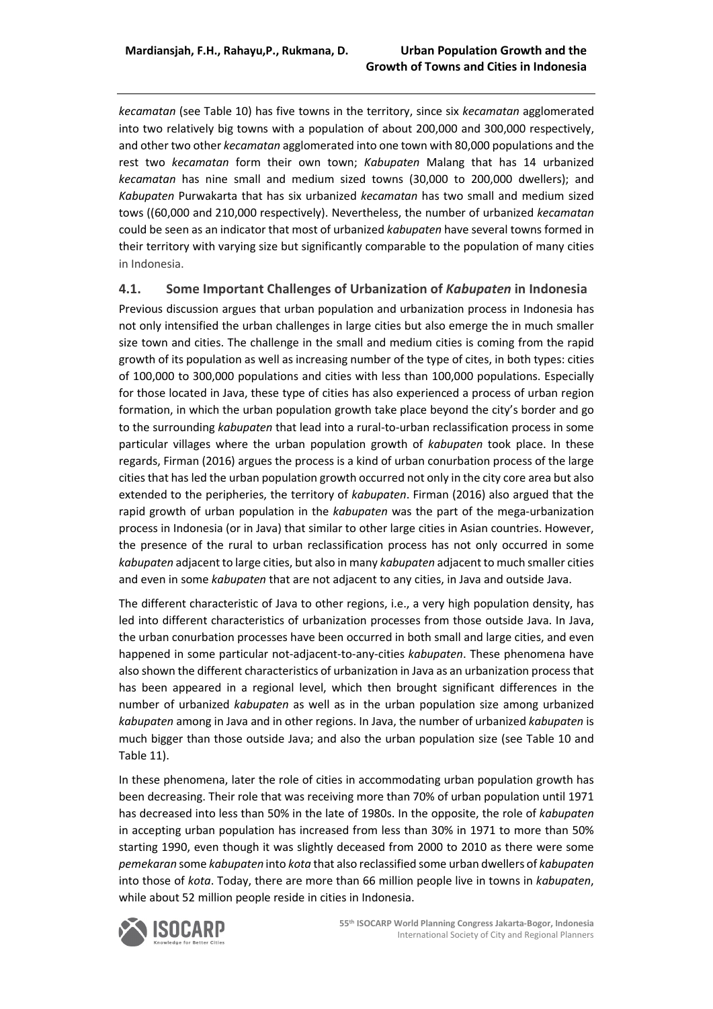*kecamatan* (see Table 10) has five towns in the territory, since six *kecamatan* agglomerated into two relatively big towns with a population of about 200,000 and 300,000 respectively, and other two other *kecamatan* agglomerated into one town with 80,000 populations and the rest two *kecamatan* form their own town; *Kabupaten* Malang that has 14 urbanized *kecamatan* has nine small and medium sized towns (30,000 to 200,000 dwellers); and *Kabupaten* Purwakarta that has six urbanized *kecamatan* has two small and medium sized tows ((60,000 and 210,000 respectively). Nevertheless, the number of urbanized *kecamatan* could be seen as an indicator that most of urbanized *kabupaten* have several towns formed in their territory with varying size but significantly comparable to the population of many cities in Indonesia.

#### **4.1. Some Important Challenges of Urbanization of** *Kabupaten* **in Indonesia**

Previous discussion argues that urban population and urbanization process in Indonesia has not only intensified the urban challenges in large cities but also emerge the in much smaller size town and cities. The challenge in the small and medium cities is coming from the rapid growth of its population as well as increasing number of the type of cites, in both types: cities of 100,000 to 300,000 populations and cities with less than 100,000 populations. Especially for those located in Java, these type of cities has also experienced a process of urban region formation, in which the urban population growth take place beyond the city's border and go to the surrounding *kabupaten* that lead into a rural-to-urban reclassification process in some particular villages where the urban population growth of *kabupaten* took place. In these regards, Firman (2016) argues the process is a kind of urban conurbation process of the large cities that has led the urban population growth occurred not only in the city core area but also extended to the peripheries, the territory of *kabupaten*. Firman (2016) also argued that the rapid growth of urban population in the *kabupaten* was the part of the mega-urbanization process in Indonesia (or in Java) that similar to other large cities in Asian countries. However, the presence of the rural to urban reclassification process has not only occurred in some *kabupaten* adjacent to large cities, but also in many *kabupaten* adjacent to much smaller cities and even in some *kabupaten* that are not adjacent to any cities, in Java and outside Java.

The different characteristic of Java to other regions, i.e., a very high population density, has led into different characteristics of urbanization processes from those outside Java. In Java, the urban conurbation processes have been occurred in both small and large cities, and even happened in some particular not-adjacent-to-any-cities *kabupaten*. These phenomena have also shown the different characteristics of urbanization in Java as an urbanization process that has been appeared in a regional level, which then brought significant differences in the number of urbanized *kabupaten* as well as in the urban population size among urbanized *kabupaten* among in Java and in other regions. In Java, the number of urbanized *kabupaten* is much bigger than those outside Java; and also the urban population size (see Table 10 and Table 11).

In these phenomena, later the role of cities in accommodating urban population growth has been decreasing. Their role that was receiving more than 70% of urban population until 1971 has decreased into less than 50% in the late of 1980s. In the opposite, the role of *kabupaten* in accepting urban population has increased from less than 30% in 1971 to more than 50% starting 1990, even though it was slightly deceased from 2000 to 2010 as there were some *pemekaran* some *kabupaten* into *kota* that also reclassified some urban dwellers of *kabupaten* into those of *kota*. Today, there are more than 66 million people live in towns in *kabupaten*, while about 52 million people reside in cities in Indonesia.

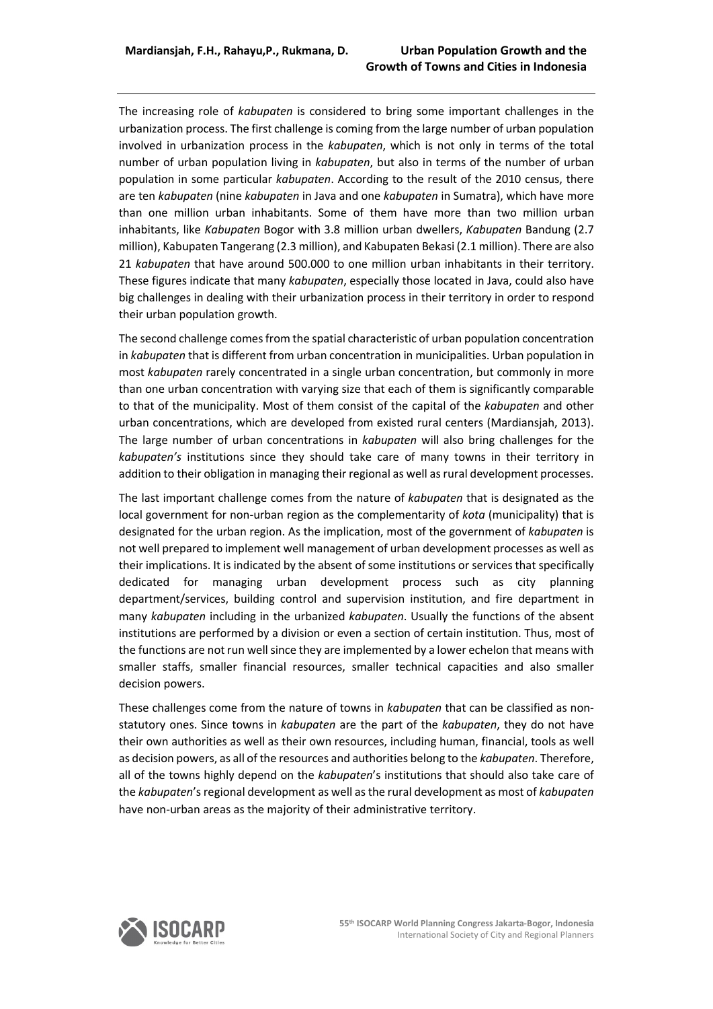The increasing role of *kabupaten* is considered to bring some important challenges in the urbanization process. The first challenge is coming from the large number of urban population involved in urbanization process in the *kabupaten*, which is not only in terms of the total number of urban population living in *kabupaten*, but also in terms of the number of urban population in some particular *kabupaten*. According to the result of the 2010 census, there are ten *kabupaten* (nine *kabupaten* in Java and one *kabupaten* in Sumatra), which have more than one million urban inhabitants. Some of them have more than two million urban inhabitants, like *Kabupaten* Bogor with 3.8 million urban dwellers, *Kabupaten* Bandung (2.7 million), Kabupaten Tangerang (2.3 million), and Kabupaten Bekasi (2.1 million). There are also 21 *kabupaten* that have around 500.000 to one million urban inhabitants in their territory. These figures indicate that many *kabupaten*, especially those located in Java, could also have big challenges in dealing with their urbanization process in their territory in order to respond their urban population growth.

The second challenge comes from the spatial characteristic of urban population concentration in *kabupaten* that is different from urban concentration in municipalities. Urban population in most *kabupaten* rarely concentrated in a single urban concentration, but commonly in more than one urban concentration with varying size that each of them is significantly comparable to that of the municipality. Most of them consist of the capital of the *kabupaten* and other urban concentrations, which are developed from existed rural centers (Mardiansjah, 2013). The large number of urban concentrations in *kabupaten* will also bring challenges for the *kabupaten's* institutions since they should take care of many towns in their territory in addition to their obligation in managing their regional as well as rural development processes.

The last important challenge comes from the nature of *kabupaten* that is designated as the local government for non-urban region as the complementarity of *kota* (municipality) that is designated for the urban region. As the implication, most of the government of *kabupaten* is not well prepared to implement well management of urban development processes as well as their implications. It is indicated by the absent of some institutions or services that specifically dedicated for managing urban development process such as city planning department/services, building control and supervision institution, and fire department in many *kabupaten* including in the urbanized *kabupaten*. Usually the functions of the absent institutions are performed by a division or even a section of certain institution. Thus, most of the functions are not run well since they are implemented by a lower echelon that means with smaller staffs, smaller financial resources, smaller technical capacities and also smaller decision powers.

These challenges come from the nature of towns in *kabupaten* that can be classified as nonstatutory ones. Since towns in *kabupaten* are the part of the *kabupaten*, they do not have their own authorities as well as their own resources, including human, financial, tools as well as decision powers, as all of the resources and authorities belong to the *kabupaten*. Therefore, all of the towns highly depend on the *kabupaten*'s institutions that should also take care of the *kabupaten*'s regional development as well as the rural development as most of *kabupaten* have non-urban areas as the majority of their administrative territory.

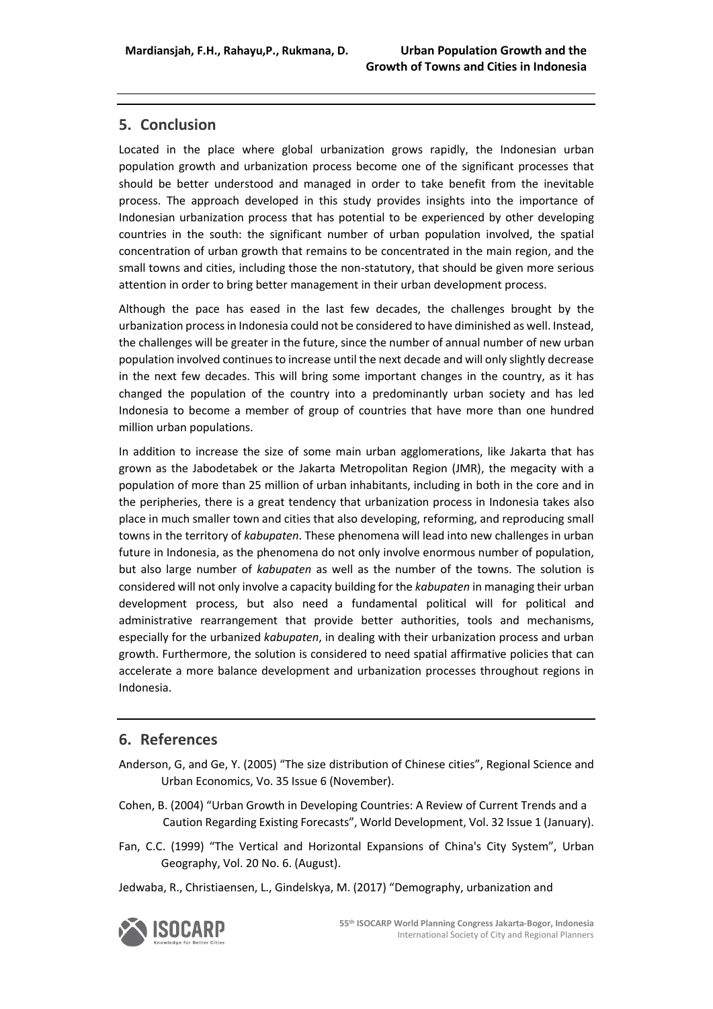### **5. Conclusion**

Located in the place where global urbanization grows rapidly, the Indonesian urban population growth and urbanization process become one of the significant processes that should be better understood and managed in order to take benefit from the inevitable process. The approach developed in this study provides insights into the importance of Indonesian urbanization process that has potential to be experienced by other developing countries in the south: the significant number of urban population involved, the spatial concentration of urban growth that remains to be concentrated in the main region, and the small towns and cities, including those the non-statutory, that should be given more serious attention in order to bring better management in their urban development process.

Although the pace has eased in the last few decades, the challenges brought by the urbanization process in Indonesia could not be considered to have diminished as well. Instead, the challenges will be greater in the future, since the number of annual number of new urban population involved continues to increase until the next decade and will only slightly decrease in the next few decades. This will bring some important changes in the country, as it has changed the population of the country into a predominantly urban society and has led Indonesia to become a member of group of countries that have more than one hundred million urban populations.

In addition to increase the size of some main urban agglomerations, like Jakarta that has grown as the Jabodetabek or the Jakarta Metropolitan Region (JMR), the megacity with a population of more than 25 million of urban inhabitants, including in both in the core and in the peripheries, there is a great tendency that urbanization process in Indonesia takes also place in much smaller town and cities that also developing, reforming, and reproducing small towns in the territory of *kabupaten*. These phenomena will lead into new challenges in urban future in Indonesia, as the phenomena do not only involve enormous number of population, but also large number of *kabupaten* as well as the number of the towns. The solution is considered will not only involve a capacity building for the *kabupaten* in managing their urban development process, but also need a fundamental political will for political and administrative rearrangement that provide better authorities, tools and mechanisms, especially for the urbanized *kabupaten*, in dealing with their urbanization process and urban growth. Furthermore, the solution is considered to need spatial affirmative policies that can accelerate a more balance development and urbanization processes throughout regions in Indonesia.

### **6. References**

- Anderson, G, and Ge, Y. (2005) "The size distribution of Chinese cities", Regional Science and Urban Economics, Vo. 35 Issue 6 (November).
- Cohen, B. (2004) "Urban Growth in Developing Countries: A Review of Current Trends and a Caution Regarding Existing Forecasts", World Development, Vol. 32 Issue 1 (January).
- Fan, C.C. (1999) "The Vertical and Horizontal Expansions of China's City System", Urban Geography, Vol. 20 No. 6. (August).
- Jedwaba, R., Christiaensen, L., Gindelskya, M. (2017) "Demography, urbanization and